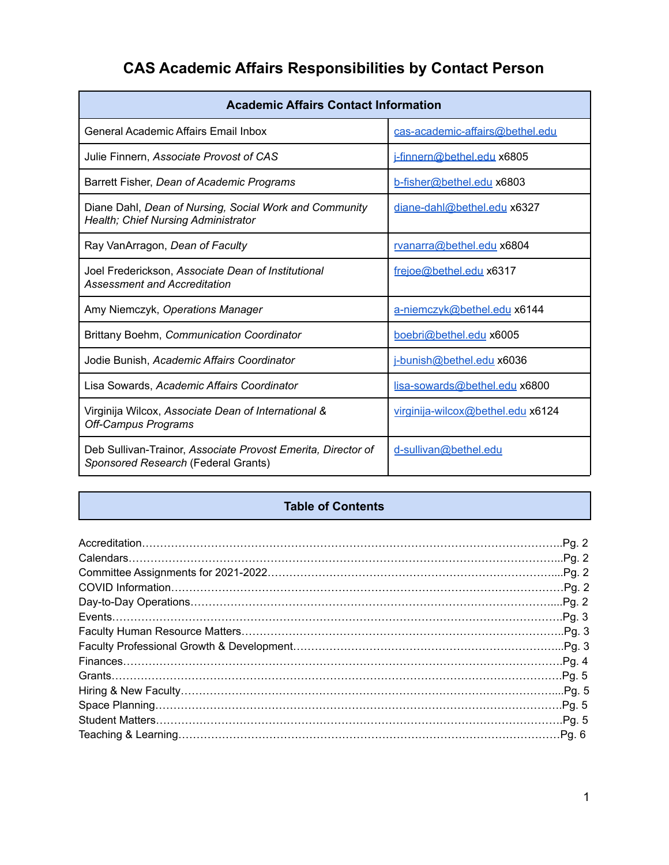## **CAS Academic Affairs Responsibilities by Contact Person**

| <b>Academic Affairs Contact Information</b>                                                          |                                   |  |
|------------------------------------------------------------------------------------------------------|-----------------------------------|--|
| <b>General Academic Affairs Email Inbox</b>                                                          | cas-academic-affairs@bethel.edu   |  |
| Julie Finnern, Associate Provost of CAS                                                              | i-finnern@bethel.edu x6805        |  |
| Barrett Fisher, Dean of Academic Programs                                                            | b-fisher@bethel.edu x6803         |  |
| Diane Dahl, Dean of Nursing, Social Work and Community<br><b>Health; Chief Nursing Administrator</b> | diane-dahl@bethel.edu x6327       |  |
| Ray VanArragon, Dean of Faculty                                                                      | rvanarra@bethel.edu x6804         |  |
| Joel Frederickson, Associate Dean of Institutional<br>Assessment and Accreditation                   | frejoe@bethel.edu x6317           |  |
| Amy Niemczyk, Operations Manager                                                                     | a-niemczyk@bethel.edu x6144       |  |
| Brittany Boehm, Communication Coordinator                                                            | boebri@bethel.edu x6005           |  |
| Jodie Bunish, Academic Affairs Coordinator                                                           | i-bunish@bethel.edu x6036         |  |
| Lisa Sowards, Academic Affairs Coordinator                                                           | lisa-sowards@bethel.edu x6800     |  |
| Virginija Wilcox, Associate Dean of International &<br><b>Off-Campus Programs</b>                    | virginija-wilcox@bethel.edu x6124 |  |
| Deb Sullivan-Trainor, Associate Provost Emerita, Director of<br>Sponsored Research (Federal Grants)  | d-sullivan@bethel.edu             |  |

## **Table of Contents**

| .Pg. 2 |
|--------|
|        |
|        |
|        |
|        |
|        |
|        |
|        |
|        |
|        |
|        |
|        |
|        |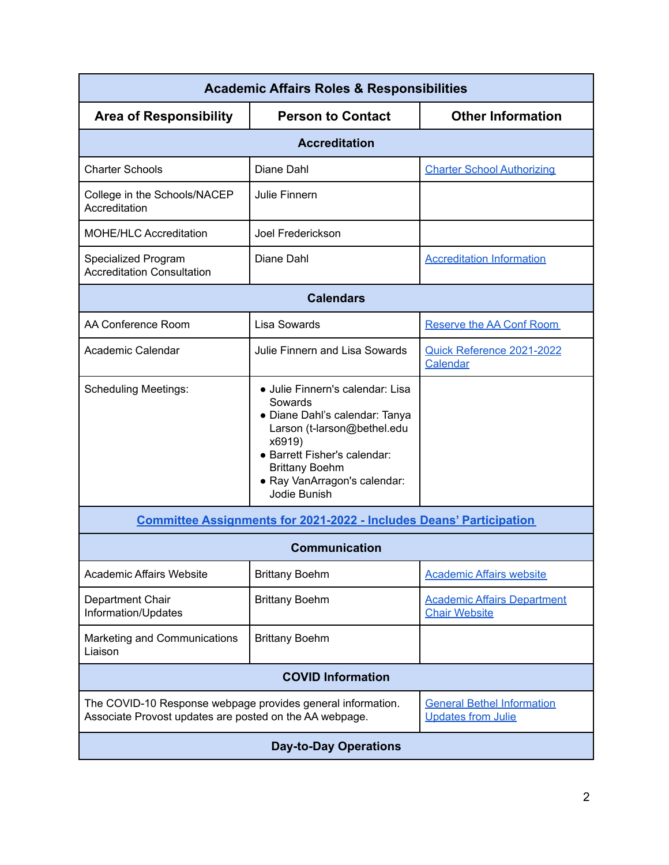| <b>Academic Affairs Roles &amp; Responsibilities</b>                                                                   |                                                                                                                                                                                                                                 |                                                                |  |
|------------------------------------------------------------------------------------------------------------------------|---------------------------------------------------------------------------------------------------------------------------------------------------------------------------------------------------------------------------------|----------------------------------------------------------------|--|
| <b>Area of Responsibility</b>                                                                                          | <b>Person to Contact</b>                                                                                                                                                                                                        | <b>Other Information</b>                                       |  |
|                                                                                                                        | <b>Accreditation</b>                                                                                                                                                                                                            |                                                                |  |
| <b>Charter Schools</b>                                                                                                 | Diane Dahl                                                                                                                                                                                                                      | <b>Charter School Authorizing</b>                              |  |
| College in the Schools/NACEP<br>Accreditation                                                                          | Julie Finnern                                                                                                                                                                                                                   |                                                                |  |
| MOHE/HLC Accreditation                                                                                                 | Joel Frederickson                                                                                                                                                                                                               |                                                                |  |
| Specialized Program<br><b>Accreditation Consultation</b>                                                               | Diane Dahl                                                                                                                                                                                                                      | <b>Accreditation Information</b>                               |  |
|                                                                                                                        | <b>Calendars</b>                                                                                                                                                                                                                |                                                                |  |
| AA Conference Room                                                                                                     | Lisa Sowards                                                                                                                                                                                                                    | <b>Reserve the AA Conf Room</b>                                |  |
| Academic Calendar                                                                                                      | Julie Finnern and Lisa Sowards                                                                                                                                                                                                  | Quick Reference 2021-2022<br>Calendar                          |  |
| <b>Scheduling Meetings:</b>                                                                                            | · Julie Finnern's calendar: Lisa<br>Sowards<br>• Diane Dahl's calendar: Tanya<br>Larson (t-larson@bethel.edu<br>x6919)<br>• Barrett Fisher's calendar:<br><b>Brittany Boehm</b><br>· Ray VanArragon's calendar:<br>Jodie Bunish |                                                                |  |
| <b>Committee Assignments for 2021-2022 - Includes Deans' Participation</b>                                             |                                                                                                                                                                                                                                 |                                                                |  |
| <b>Communication</b>                                                                                                   |                                                                                                                                                                                                                                 |                                                                |  |
| <b>Academic Affairs Website</b>                                                                                        | <b>Brittany Boehm</b>                                                                                                                                                                                                           | <b>Academic Affairs website</b>                                |  |
| Department Chair<br>Information/Updates                                                                                | <b>Brittany Boehm</b>                                                                                                                                                                                                           | <b>Academic Affairs Department</b><br><b>Chair Website</b>     |  |
| Marketing and Communications<br>Liaison                                                                                | <b>Brittany Boehm</b>                                                                                                                                                                                                           |                                                                |  |
| <b>COVID Information</b>                                                                                               |                                                                                                                                                                                                                                 |                                                                |  |
| The COVID-10 Response webpage provides general information.<br>Associate Provost updates are posted on the AA webpage. |                                                                                                                                                                                                                                 | <b>General Bethel Information</b><br><b>Updates from Julie</b> |  |
| <b>Day-to-Day Operations</b>                                                                                           |                                                                                                                                                                                                                                 |                                                                |  |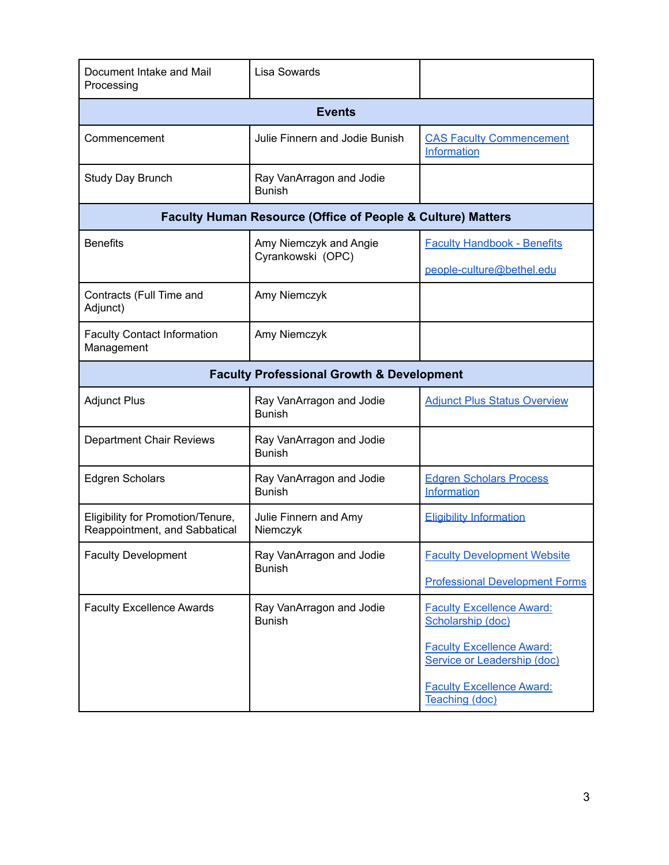| Document Intake and Mail<br>Processing                             | Lisa Sowards                                                           |                                                                 |  |
|--------------------------------------------------------------------|------------------------------------------------------------------------|-----------------------------------------------------------------|--|
|                                                                    | <b>Events</b>                                                          |                                                                 |  |
| Commencement                                                       | Julie Finnern and Jodie Bunish                                         | <b>CAS Faculty Commencement</b><br>Information                  |  |
| Study Day Brunch                                                   | Ray VanArragon and Jodie<br><b>Bunish</b>                              |                                                                 |  |
|                                                                    | <b>Faculty Human Resource (Office of People &amp; Culture) Matters</b> |                                                                 |  |
| <b>Benefits</b><br>Amy Niemczyk and Angie                          |                                                                        | <b>Faculty Handbook - Benefits</b>                              |  |
|                                                                    | Cyrankowski (OPC)                                                      | people-culture@bethel.edu                                       |  |
| Contracts (Full Time and<br>Adjunct)                               | Amy Niemczyk                                                           |                                                                 |  |
| <b>Faculty Contact Information</b><br>Management                   | Amy Niemczyk                                                           |                                                                 |  |
|                                                                    | <b>Faculty Professional Growth &amp; Development</b>                   |                                                                 |  |
| <b>Adjunct Plus</b>                                                | Ray VanArragon and Jodie<br><b>Bunish</b>                              | <b>Adjunct Plus Status Overview</b>                             |  |
| <b>Department Chair Reviews</b>                                    | Ray VanArragon and Jodie<br><b>Bunish</b>                              |                                                                 |  |
| <b>Edgren Scholars</b>                                             | Ray VanArragon and Jodie<br><b>Bunish</b>                              | <b>Edgren Scholars Process</b><br>Information                   |  |
| Eligibility for Promotion/Tenure,<br>Reappointment, and Sabbatical | Julie Finnern and Amy<br>Niemczyk                                      | <b>Eligibility Information</b>                                  |  |
| <b>Faculty Development</b>                                         | Ray VanArragon and Jodie<br><b>Bunish</b>                              | <b>Faculty Development Website</b>                              |  |
|                                                                    |                                                                        | <b>Professional Development Forms</b>                           |  |
| <b>Faculty Excellence Awards</b>                                   | Ray VanArragon and Jodie<br><b>Bunish</b>                              | <b>Faculty Excellence Award:</b><br>Scholarship (doc)           |  |
|                                                                    |                                                                        | <b>Faculty Excellence Award:</b><br>Service or Leadership (doc) |  |
|                                                                    |                                                                        | <b>Faculty Excellence Award:</b><br>Teaching (doc)              |  |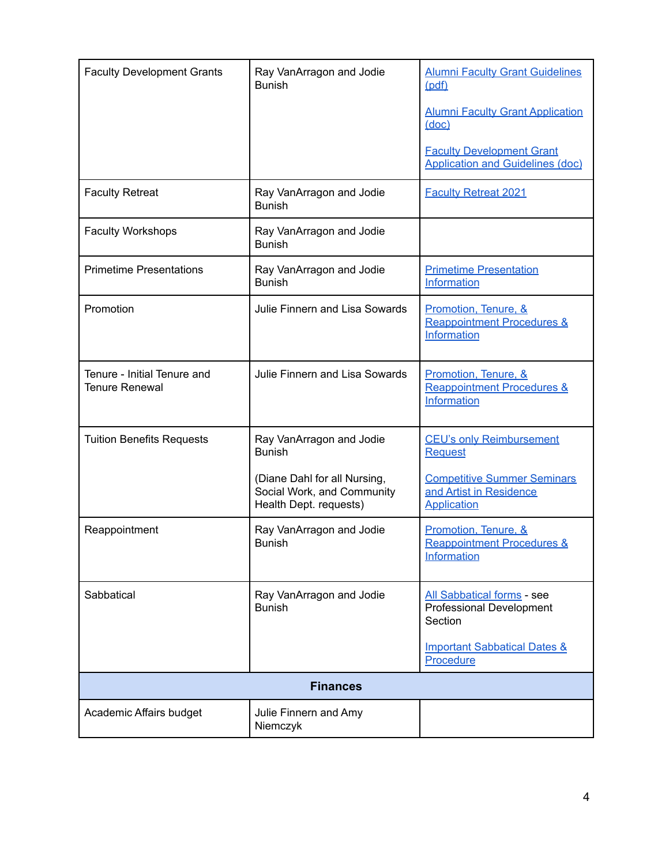| <b>Faculty Development Grants</b>                    | Ray VanArragon and Jodie<br><b>Bunish</b>                                            | <b>Alumni Faculty Grant Guidelines</b><br>(pdf)                                     |
|------------------------------------------------------|--------------------------------------------------------------------------------------|-------------------------------------------------------------------------------------|
|                                                      |                                                                                      | <b>Alumni Faculty Grant Application</b><br><u>(doc)</u>                             |
|                                                      |                                                                                      | <b>Faculty Development Grant</b><br><b>Application and Guidelines (doc)</b>         |
| <b>Faculty Retreat</b>                               | Ray VanArragon and Jodie<br><b>Bunish</b>                                            | <b>Faculty Retreat 2021</b>                                                         |
| <b>Faculty Workshops</b>                             | Ray VanArragon and Jodie<br><b>Bunish</b>                                            |                                                                                     |
| <b>Primetime Presentations</b>                       | Ray VanArragon and Jodie<br><b>Bunish</b>                                            | <b>Primetime Presentation</b><br>Information                                        |
| Promotion                                            | Julie Finnern and Lisa Sowards                                                       | Promotion, Tenure, &<br><b>Reappointment Procedures &amp;</b><br>Information        |
| Tenure - Initial Tenure and<br><b>Tenure Renewal</b> | Julie Finnern and Lisa Sowards                                                       | Promotion, Tenure, &<br><b>Reappointment Procedures &amp;</b><br>Information        |
| <b>Tuition Benefits Requests</b>                     | Ray VanArragon and Jodie<br><b>Bunish</b>                                            | <b>CEU's only Reimbursement</b><br><b>Request</b>                                   |
|                                                      | (Diane Dahl for all Nursing,<br>Social Work, and Community<br>Health Dept. requests) | <b>Competitive Summer Seminars</b><br>and Artist in Residence<br><b>Application</b> |
| Reappointment                                        | Ray VanArragon and Jodie<br><b>Bunish</b>                                            | Promotion, Tenure, &<br><b>Reappointment Procedures &amp;</b><br>Information        |
| Sabbatical                                           | Ray VanArragon and Jodie<br><b>Bunish</b>                                            | <b>All Sabbatical forms - see</b><br>Professional Development<br>Section            |
|                                                      |                                                                                      | <b>Important Sabbatical Dates &amp;</b><br>Procedure                                |
| <b>Finances</b>                                      |                                                                                      |                                                                                     |
| Academic Affairs budget                              | Julie Finnern and Amy<br>Niemczyk                                                    |                                                                                     |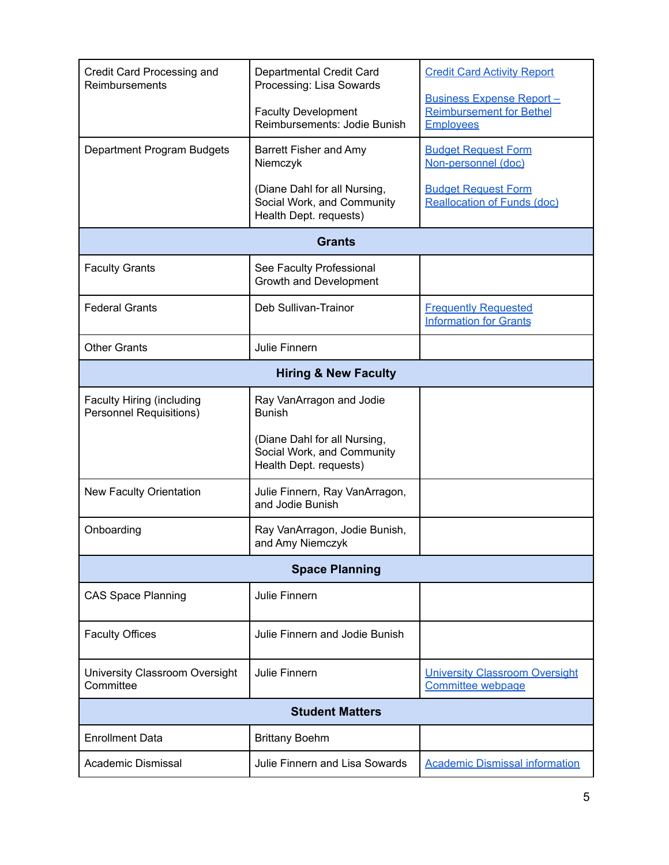| Credit Card Processing and<br>Reimbursements                       | Departmental Credit Card<br>Processing: Lisa Sowards                                 | <b>Credit Card Activity Report</b><br><b>Business Expense Report -</b> |
|--------------------------------------------------------------------|--------------------------------------------------------------------------------------|------------------------------------------------------------------------|
|                                                                    | <b>Faculty Development</b><br>Reimbursements: Jodie Bunish                           | <b>Reimbursement for Bethel</b><br><b>Employees</b>                    |
| Department Program Budgets                                         | <b>Barrett Fisher and Amy</b><br>Niemczyk                                            | <b>Budget Request Form</b><br>Non-personnel (doc)                      |
|                                                                    | (Diane Dahl for all Nursing,<br>Social Work, and Community<br>Health Dept. requests) | <b>Budget Request Form</b><br><b>Reallocation of Funds (doc)</b>       |
|                                                                    | <b>Grants</b>                                                                        |                                                                        |
| <b>Faculty Grants</b>                                              | See Faculty Professional<br>Growth and Development                                   |                                                                        |
| <b>Federal Grants</b>                                              | Deb Sullivan-Trainor                                                                 | <b>Frequently Requested</b><br><b>Information for Grants</b>           |
| <b>Other Grants</b>                                                | Julie Finnern                                                                        |                                                                        |
| <b>Hiring &amp; New Faculty</b>                                    |                                                                                      |                                                                        |
| <b>Faculty Hiring (including</b><br><b>Personnel Requisitions)</b> | Ray VanArragon and Jodie<br><b>Bunish</b>                                            |                                                                        |
|                                                                    | (Diane Dahl for all Nursing,<br>Social Work, and Community<br>Health Dept. requests) |                                                                        |
| <b>New Faculty Orientation</b>                                     | Julie Finnern, Ray VanArragon,<br>and Jodie Bunish                                   |                                                                        |
| Onboarding                                                         | Ray VanArragon, Jodie Bunish,<br>and Amy Niemczyk                                    |                                                                        |
| <b>Space Planning</b>                                              |                                                                                      |                                                                        |
| <b>CAS Space Planning</b>                                          | Julie Finnern                                                                        |                                                                        |
| <b>Faculty Offices</b>                                             | Julie Finnern and Jodie Bunish                                                       |                                                                        |
| University Classroom Oversight<br>Committee                        | Julie Finnern                                                                        | <b>University Classroom Oversight</b><br><b>Committee webpage</b>      |
| <b>Student Matters</b>                                             |                                                                                      |                                                                        |
| <b>Enrollment Data</b>                                             | <b>Brittany Boehm</b>                                                                |                                                                        |
| Academic Dismissal                                                 | Julie Finnern and Lisa Sowards                                                       | <b>Academic Dismissal information</b>                                  |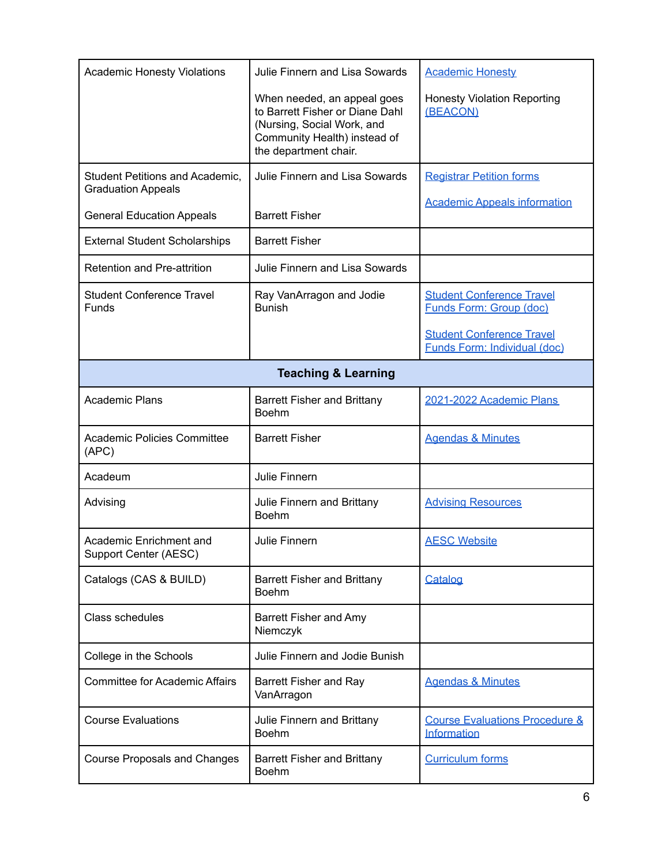| <b>Academic Honesty Violations</b>                           | Julie Finnern and Lisa Sowards                                                                                                                        | <b>Academic Honesty</b>                                                 |
|--------------------------------------------------------------|-------------------------------------------------------------------------------------------------------------------------------------------------------|-------------------------------------------------------------------------|
|                                                              | When needed, an appeal goes<br>to Barrett Fisher or Diane Dahl<br>(Nursing, Social Work, and<br>Community Health) instead of<br>the department chair. | <b>Honesty Violation Reporting</b><br>(BEACON)                          |
| Student Petitions and Academic,<br><b>Graduation Appeals</b> | Julie Finnern and Lisa Sowards                                                                                                                        | <b>Registrar Petition forms</b>                                         |
| <b>General Education Appeals</b>                             | <b>Barrett Fisher</b>                                                                                                                                 | <b>Academic Appeals information</b>                                     |
| <b>External Student Scholarships</b>                         | <b>Barrett Fisher</b>                                                                                                                                 |                                                                         |
| Retention and Pre-attrition                                  | Julie Finnern and Lisa Sowards                                                                                                                        |                                                                         |
| <b>Student Conference Travel</b><br><b>Funds</b>             | Ray VanArragon and Jodie<br><b>Bunish</b>                                                                                                             | <b>Student Conference Travel</b><br><b>Funds Form: Group (doc)</b>      |
|                                                              |                                                                                                                                                       | <b>Student Conference Travel</b><br><b>Funds Form: Individual (doc)</b> |
| <b>Teaching &amp; Learning</b>                               |                                                                                                                                                       |                                                                         |
| <b>Academic Plans</b>                                        | <b>Barrett Fisher and Brittany</b><br><b>Boehm</b>                                                                                                    | 2021-2022 Academic Plans                                                |
| <b>Academic Policies Committee</b><br>(APC)                  | <b>Barrett Fisher</b>                                                                                                                                 | <b>Agendas &amp; Minutes</b>                                            |
| Acadeum                                                      | Julie Finnern                                                                                                                                         |                                                                         |
| Advising                                                     | Julie Finnern and Brittany<br><b>Boehm</b>                                                                                                            | <b>Advising Resources</b>                                               |
| Academic Enrichment and<br>Support Center (AESC)             | Julie Finnern                                                                                                                                         | <b>AESC Website</b>                                                     |
| Catalogs (CAS & BUILD)                                       | <b>Barrett Fisher and Brittany</b><br><b>Boehm</b>                                                                                                    | Catalog                                                                 |
| Class schedules                                              | <b>Barrett Fisher and Amy</b><br>Niemczyk                                                                                                             |                                                                         |
| College in the Schools                                       | Julie Finnern and Jodie Bunish                                                                                                                        |                                                                         |
| <b>Committee for Academic Affairs</b>                        | <b>Barrett Fisher and Ray</b><br>VanArragon                                                                                                           | <b>Agendas &amp; Minutes</b>                                            |
| <b>Course Evaluations</b>                                    | Julie Finnern and Brittany<br><b>Boehm</b>                                                                                                            | <b>Course Evaluations Procedure &amp;</b><br>Information                |
| <b>Course Proposals and Changes</b>                          | <b>Barrett Fisher and Brittany</b><br>Boehm                                                                                                           | <b>Curriculum forms</b>                                                 |